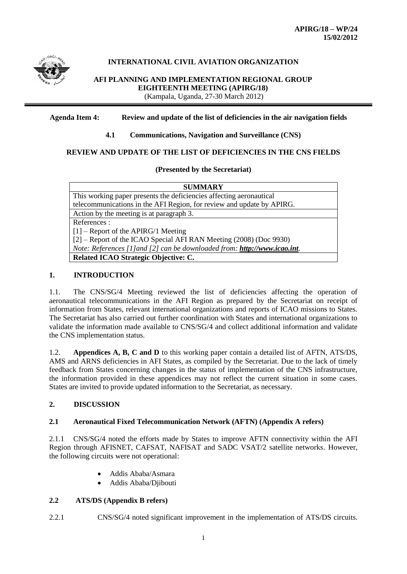

#### **INTERNATIONAL CIVIL AVIATION ORGANIZATION**

**AFI PLANNING AND IMPLEMENTATION REGIONAL GROUP EIGHTEENTH MEETING (APIRG/18)** (Kampala, Uganda, 27-30 March 2012)

#### **Agenda Item 4: Review and update of the list of deficiencies in the air navigation fields**

#### **4.1 Communications, Navigation and Surveillance (CNS)**

#### **REVIEW AND UPDATE OF THE LIST OF DEFICIENCIES IN THE CNS FIELDS**

#### **(Presented by the Secretariat)**

| <b>SUMMARY</b>                                                            |
|---------------------------------------------------------------------------|
| This working paper presents the deficiencies affecting aeronautical       |
| telecommunications in the AFI Region, for review and update by APIRG.     |
| Action by the meeting is at paragraph 3.                                  |
| References:                                                               |
| $\mid$ [1] – Report of the APIRG/1 Meeting                                |
| [2] – Report of the ICAO Special AFI RAN Meeting (2008) (Doc 9930)        |
| Note: References [1] and [2] can be downloaded from: http://www.icao.int. |
| Related ICAO Strategic Objective: C.                                      |

#### **1. INTRODUCTION**

1.1. The CNS/SG/4 Meeting reviewed the list of deficiencies affecting the operation of aeronautical telecommunications in the AFI Region as prepared by the Secretariat on receipt of information from States, relevant international organizations and reports of ICAO missions to States. The Secretariat has also carried out further coordination with States and international organizations to validate the information made available to CNS/SG/4 and collect additional information and validate the CNS implementation status.

1.2. **Appendices A, B, C and D** to this working paper contain a detailed list of AFTN, ATS/DS, AMS and ARNS deficiencies in AFI States, as compiled by the Secretariat. Due to the lack of timely feedback from States concerning changes in the status of implementation of the CNS infrastructure, the information provided in these appendices may not reflect the current situation in some cases. States are invited to provide updated information to the Secretariat, as necessary.

#### **2. DISCUSSION**

#### **2.1 Aeronautical Fixed Telecommunication Network (AFTN) (Appendix A refers)**

2.1.1 CNS/SG/4 noted the efforts made by States to improve AFTN connectivity within the AFI Region through AFISNET, CAFSAT, NAFISAT and SADC VSAT/2 satellite networks. However, the following circuits were not operational:

- Addis Ababa/Asmara
- Addis Ababa/Djibouti

#### **2.2 ATS/DS (Appendix B refers)**

2.2.1 CNS/SG/4 noted significant improvement in the implementation of ATS/DS circuits.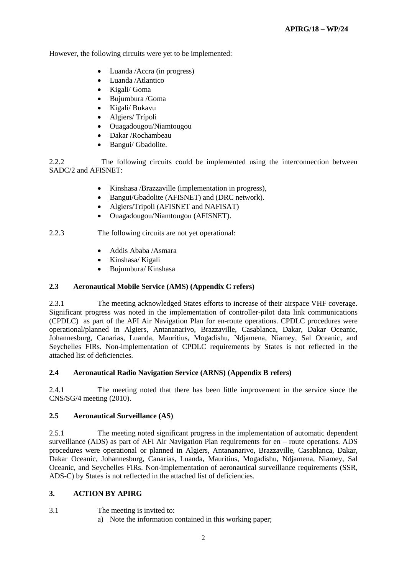However, the following circuits were yet to be implemented:

- Luanda /Accra (in progress)
- Luanda /Atlantico
- Kigali/ Goma
- Bujumbura /Goma
- Kigali/ Bukavu
- Algiers/ Trípoli
- Ouagadougou/Niamtougou
- Dakar /Rochambeau
- Bangui/ Gbadolite.

2.2.2 The following circuits could be implemented using the interconnection between SADC/2 and AFISNET:

- Kinshasa /Brazzaville (implementation in progress),
- Bangui/Gbadolite (AFISNET) and (DRC network).
- Algiers/Tripoli (AFISNET and NAFISAT)
- Ouagadougou/Niamtougou (AFISNET).

2.2.3 The following circuits are not yet operational:

- Addis Ababa /Asmara
- Kinshasa/ Kigali
- Bujumbura/ Kinshasa

#### **2.3 Aeronautical Mobile Service (AMS) (Appendix C refers)**

2.3.1 The meeting acknowledged States efforts to increase of their airspace VHF coverage. Significant progress was noted in the implementation of controller-pilot data link communications (CPDLC) as part of the AFI Air Navigation Plan for en-route operations. CPDLC procedures were operational/planned in Algiers, Antananarivo, Brazzaville, Casablanca, Dakar, Dakar Oceanic, Johannesburg, Canarias, Luanda, Mauritius, Mogadishu, Ndjamena, Niamey, Sal Oceanic, and Seychelles FIRs. Non-implementation of CPDLC requirements by States is not reflected in the attached list of deficiencies.

#### **2.4 Aeronautical Radio Navigation Service (ARNS) (Appendix B refers)**

2.4.1 The meeting noted that there has been little improvement in the service since the CNS/SG/4 meeting (2010).

#### **2.5 Aeronautical Surveillance (AS)**

2.5.1 The meeting noted significant progress in the implementation of automatic dependent surveillance (ADS) as part of AFI Air Navigation Plan requirements for en – route operations. ADS procedures were operational or planned in Algiers, Antananarivo, Brazzaville, Casablanca, Dakar, Dakar Oceanic, Johannesburg, Canarias, Luanda, Mauritius, Mogadishu, Ndjamena, Niamey, Sal Oceanic, and Seychelles FIRs. Non-implementation of aeronautical surveillance requirements (SSR, ADS-C) by States is not reflected in the attached list of deficiencies.

#### **3. ACTION BY APIRG**

#### 3.1 The meeting is invited to:

a) Note the information contained in this working paper;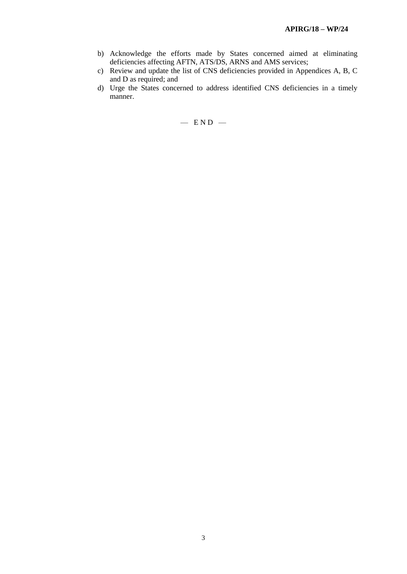- b) Acknowledge the efforts made by States concerned aimed at eliminating deficiencies affecting AFTN, ATS/DS, ARNS and AMS services;
- c) Review and update the list of CNS deficiencies provided in Appendices A, B, C and D as required; and
- d) Urge the States concerned to address identified CNS deficiencies in a timely manner.

 $-$  END  $-$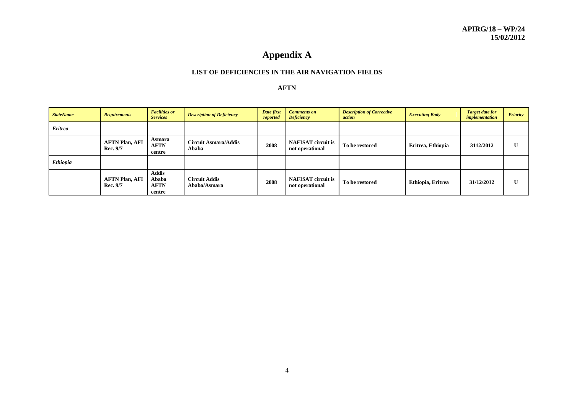## **Appendix A**

#### **LIST OF DEFICIENCIES IN THE AIR NAVIGATION FIELDS**

#### **AFTN**

| <b>StateName</b> | <b>Requirements</b>                      | <b>Facilities or</b><br><b>Services</b>        | <b>Description of Deficiency</b>     | Date first<br>reported | <b>Comments on</b><br><b>Deficiency</b>      | <b>Description of Corrective</b><br>action | <b>Executing Body</b> | <b>Target date for</b><br>implementation | <b>Priority</b> |
|------------------|------------------------------------------|------------------------------------------------|--------------------------------------|------------------------|----------------------------------------------|--------------------------------------------|-----------------------|------------------------------------------|-----------------|
| <b>Eritrea</b>   |                                          |                                                |                                      |                        |                                              |                                            |                       |                                          |                 |
|                  | <b>AFTN Plan, AFI</b><br>Rec. 9/7        | Asmara<br><b>AFTN</b><br>centre                | <b>Circuit Asmara/Addis</b><br>Ababa | 2008                   | <b>NAFISAT</b> circuit is<br>not operational | To be restored                             | Eritrea, Ethiopia     | 3112/2012                                | U               |
| <b>Ethiopia</b>  |                                          |                                                |                                      |                        |                                              |                                            |                       |                                          |                 |
|                  | <b>AFTN Plan, AFI</b><br><b>Rec. 9/7</b> | <b>Addis</b><br>Ababa<br><b>AFTN</b><br>centre | <b>Circuit Addis</b><br>Ababa/Asmara | 2008                   | <b>NAFISAT</b> circuit is<br>not operational | To be restored                             | Ethiopia, Eritrea     | 31/12/2012                               | U               |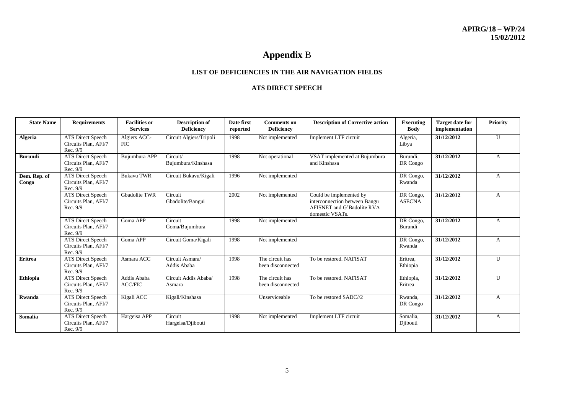## **Appendix** B

#### **LIST OF DEFICIENCIES IN THE AIR NAVIGATION FIELDS**

#### **ATS DIRECT SPEECH**

| <b>State Name</b>     | <b>Requirements</b>                                          | <b>Facilities or</b><br><b>Services</b> | <b>Description of</b><br><b>Deficiency</b> | Date first<br>reported | <b>Comments</b> on<br><b>Deficiency</b> | <b>Description of Corrective action</b>                                                                   | <b>Executing</b><br><b>Body</b> | <b>Target date for</b><br>implementation | <b>Priority</b> |
|-----------------------|--------------------------------------------------------------|-----------------------------------------|--------------------------------------------|------------------------|-----------------------------------------|-----------------------------------------------------------------------------------------------------------|---------------------------------|------------------------------------------|-----------------|
| <b>Algeria</b>        | <b>ATS</b> Direct Speech<br>Circuits Plan, AFI/7<br>Rec. 9/9 | Algiers ACC-<br>FIC.                    | Circuit Algiers/Tripoli                    | 1998                   | Not implemented                         | Implement LTF circuit                                                                                     | Algeria,<br>Libya               | 31/12/2012                               | U               |
| <b>Burundi</b>        | <b>ATS Direct Speech</b><br>Circuits Plan, AFI/7<br>Rec. 9/9 | Bujumbura APP                           | Circuit/<br>Bujumbura/Kinshasa             | 1998                   | Not operational                         | VSAT implemented at Bujumbura<br>and Kinshasa                                                             | Burundi,<br>DR Congo            | 31/12/2012                               | A               |
| Dem. Rep. of<br>Congo | <b>ATS Direct Speech</b><br>Circuits Plan, AFI/7<br>Rec. 9/9 | <b>Bukavu TWR</b>                       | Circuit Bukavu/Kigali                      | 1996                   | Not implemented                         |                                                                                                           | DR Congo,<br>Rwanda             | 31/12/2012                               | A               |
|                       | <b>ATS Direct Speech</b><br>Circuits Plan, AFI/7<br>Rec. 9/9 | <b>Gbadolite TWR</b>                    | Circuit<br>Gbadolite/Bangui                | 2002                   | Not implemented                         | Could be implemented by<br>interconnection between Bangu<br>AFISNET and G'Badolite RVA<br>domestic VSATs. | DR Congo,<br><b>ASECNA</b>      | 31/12/2012                               | A               |
|                       | <b>ATS Direct Speech</b><br>Circuits Plan, AFI/7<br>Rec. 9/9 | Goma APP                                | Circuit<br>Goma/Bujumbura                  | 1998                   | Not implemented                         |                                                                                                           | DR Congo,<br>Burundi            | 31/12/2012                               | A               |
|                       | <b>ATS Direct Speech</b><br>Circuits Plan, AFI/7<br>Rec. 9/9 | Goma APP                                | Circuit Goma/Kigali                        | 1998                   | Not implemented                         |                                                                                                           | DR Congo,<br>Rwanda             | 31/12/2012                               | $\overline{A}$  |
| <b>Eritrea</b>        | <b>ATS Direct Speech</b><br>Circuits Plan, AFI/7<br>Rec. 9/9 | Asmara ACC                              | Circuit Asmara/<br>Addis Ababa             | 1998                   | The circuit has<br>been disconnected    | To be restored. NAFISAT                                                                                   | Eritrea.<br>Ethiopia            | 31/12/2012                               | U               |
| Ethiopia              | <b>ATS Direct Speech</b><br>Circuits Plan, AFI/7<br>Rec. 9/9 | Addis Ababa<br><b>ACC/FIC</b>           | Circuit Addis Ababa/<br>Asmara             | 1998                   | The circuit has<br>been disconnected    | To be restored. NAFISAT                                                                                   | Ethiopia,<br>Eritrea            | 31/12/2012                               | U               |
| Rwanda                | <b>ATS Direct Speech</b><br>Circuits Plan, AFI/7<br>Rec. 9/9 | Kigali ACC                              | Kigali/Kinshasa                            |                        | Unserviceable                           | To be restored SADC//2                                                                                    | Rwanda.<br>DR Congo             | 31/12/2012                               | A               |
| Somalia               | ATS Direct Speech<br>Circuits Plan, AFI/7<br>Rec. 9/9        | Hargeisa APP                            | Circuit<br>Hargeisa/Djibouti               | 1998                   | Not implemented                         | Implement LTF circuit                                                                                     | Somalia.<br>Djibouti            | 31/12/2012                               | A               |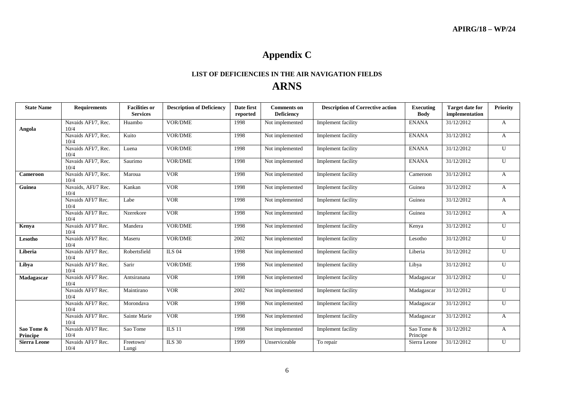# **Appendix C**

### **LIST OF DEFICIENCIES IN THE AIR NAVIGATION FIELDS ARNS**

| <b>State Name</b>      | <b>Requirements</b>         | <b>Facilities or</b><br><b>Services</b> | <b>Description of Deficiency</b> | Date first<br>reported | <b>Comments</b> on<br><b>Deficiency</b> | <b>Description of Corrective action</b> | <b>Executing</b><br><b>Body</b> | <b>Target date for</b><br>implementation | <b>Priority</b> |
|------------------------|-----------------------------|-----------------------------------------|----------------------------------|------------------------|-----------------------------------------|-----------------------------------------|---------------------------------|------------------------------------------|-----------------|
| Angola                 | Navaids AFI/7, Rec.<br>10/4 | Huambo                                  | VOR/DME                          | 1998                   | Not implemented                         | Implement facility                      | <b>ENANA</b>                    | 31/12/2012                               | A               |
|                        | Navaids AFI/7, Rec.<br>10/4 | Kuito                                   | <b>VOR/DME</b>                   | 1998                   | Not implemented                         | Implement facility                      | <b>ENANA</b>                    | 31/12/2012                               | A               |
|                        | Navaids AFI/7, Rec.<br>10/4 | Luena                                   | VOR/DME                          | 1998                   | Not implemented                         | Implement facility                      | <b>ENANA</b>                    | 31/12/2012                               | $\mathbf{U}$    |
|                        | Navaids AFI/7, Rec.<br>10/4 | Saurimo                                 | <b>VOR/DME</b>                   | 1998                   | Not implemented                         | Implement facility                      | <b>ENANA</b>                    | 31/12/2012                               | $\mathbf{U}$    |
| Cameroon               | Navaids AFI/7, Rec.<br>10/4 | Maroua                                  | <b>VOR</b>                       | 1998                   | Not implemented                         | Implement facility                      | Cameroon                        | 31/12/2012                               | A               |
| Guinea                 | Navaids, AFI/7 Rec.<br>10/4 | Kankan                                  | <b>VOR</b>                       | 1998                   | Not implemented                         | Implement facility                      | Guinea                          | 31/12/2012                               | $\mathbf{A}$    |
|                        | Navaids AFI/7 Rec.<br>10/4  | Labe                                    | VOR                              | 1998                   | Not implemented                         | Implement facility                      | Guinea                          | 31/12/2012                               | A               |
|                        | Navaids AFI/7 Rec.<br>10/4  | Nzerekore                               | <b>VOR</b>                       | 1998                   | Not implemented                         | Implement facility                      | Guinea                          | 31/12/2012                               | $\mathbf{A}$    |
| Kenya                  | Navaids AFI/7 Rec.<br>10/4  | Mandera                                 | VOR/DME                          | 1998                   | Not implemented                         | Implement facility                      | Kenya                           | 31/12/2012                               | U               |
| Lesotho                | Navaids AFI/7 Rec.<br>10/4  | Maseru                                  | <b>VOR/DME</b>                   | 2002                   | Not implemented                         | Implement facility                      | Lesotho                         | 31/12/2012                               | U               |
| Liberia                | Navaids AFI/7 Rec.<br>10/4  | Robertsfield                            | <b>ILS 04</b>                    | 1998                   | Not implemented                         | Implement facility                      | Liberia                         | 31/12/2012                               | $\mathbf{U}$    |
| Libya                  | Navaids AFI/7 Rec.<br>10/4  | Sarir                                   | <b>VOR/DME</b>                   | 1998                   | Not implemented                         | Implement facility                      | Libya                           | 31/12/2012                               | U               |
| Madagascar             | Navaids AFI/7 Rec.<br>10/4  | Antsiranana                             | <b>VOR</b>                       | 1998                   | Not implemented                         | Implement facility                      | Madagascar                      | 31/12/2012                               | U               |
|                        | Navaids AFI/7 Rec.<br>10/4  | Maintirano                              | <b>VOR</b>                       | 2002                   | Not implemented                         | Implement facility                      | Madagascar                      | 31/12/2012                               | U               |
|                        | Navaids AFI/7 Rec.<br>10/4  | Morondava                               | <b>VOR</b>                       | 1998                   | Not implemented                         | Implement facility                      | Madagascar                      | 31/12/2012                               | U               |
|                        | Navaids AFI/7 Rec.<br>10/4  | Sainte Marie                            | <b>VOR</b>                       | 1998                   | Not implemented                         | Implement facility                      | Madagascar                      | 31/12/2012                               | A               |
| Sao Tome &<br>Principe | Navaids AFI/7 Rec.<br>10/4  | Sao Tome                                | <b>ILS 11</b>                    | 1998                   | Not implemented                         | Implement facility                      | Sao Tome &<br>Principe          | 31/12/2012                               | A               |
| <b>Sierra Leone</b>    | Navaids AFI/7 Rec.<br>10/4  | Freetown/<br>Lungi                      | <b>ILS 30</b>                    | 1999                   | Unserviceable                           | To repair                               | Sierra Leone                    | 31/12/2012                               | U               |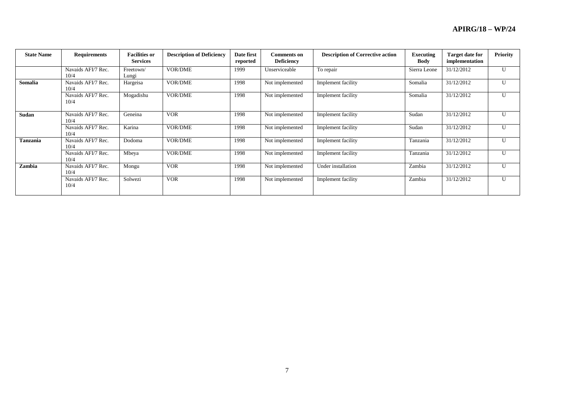| <b>State Name</b> | <b>Requirements</b>        | <b>Facilities or</b><br><b>Services</b> | <b>Description of Deficiency</b> | Date first<br>reported | <b>Comments on</b><br><b>Deficiency</b> | <b>Description of Corrective action</b> | Executing<br>Body | <b>Target date for</b><br>implementation | <b>Priority</b> |
|-------------------|----------------------------|-----------------------------------------|----------------------------------|------------------------|-----------------------------------------|-----------------------------------------|-------------------|------------------------------------------|-----------------|
|                   | Navaids AFI/7 Rec.<br>10/4 | Freetown/<br>Lungi                      | <b>VOR/DME</b>                   | 1999                   | Unserviceable                           | To repair                               | Sierra Leone      | 31/12/2012                               | $\mathbf{U}$    |
| Somalia           | Navaids AFI/7 Rec.<br>10/4 | Hargeisa                                | <b>VOR/DME</b>                   | 1998                   | Not implemented                         | Implement facility                      | Somalia           | 31/12/2012                               | $\mathbf{U}$    |
|                   | Navaids AFI/7 Rec.<br>10/4 | Mogadishu                               | <b>VOR/DME</b>                   | 1998                   | Not implemented                         | Implement facility                      | Somalia           | 31/12/2012                               | U               |
| Sudan             | Navaids AFI/7 Rec.<br>10/4 | Geneina                                 | <b>VOR</b>                       | 1998                   | Not implemented                         | Implement facility                      | Sudan             | 31/12/2012                               | U               |
|                   | Navaids AFI/7 Rec.<br>10/4 | Karina                                  | <b>VOR/DME</b>                   | 1998                   | Not implemented                         | Implement facility                      | Sudan             | 31/12/2012                               | $\mathbf{U}$    |
| <b>Tanzania</b>   | Navaids AFI/7 Rec.<br>10/4 | Dodoma                                  | <b>VOR/DME</b>                   | 1998                   | Not implemented                         | Implement facility                      | Tanzania          | 31/12/2012                               | $\mathbf{U}$    |
|                   | Navaids AFI/7 Rec.<br>10/4 | Mbeya                                   | <b>VOR/DME</b>                   | 1998                   | Not implemented                         | Implement facility                      | Tanzania          | 31/12/2012                               | U               |
| Zambia            | Navaids AFI/7 Rec.<br>10/4 | Mongu                                   | <b>VOR</b>                       | 1998                   | Not implemented                         | Under installation                      | Zambia            | 31/12/2012                               | $\mathbf{U}$    |
|                   | Navaids AFI/7 Rec.<br>10/4 | Solwezi                                 | <b>VOR</b>                       | 1998                   | Not implemented                         | Implement facility                      | Zambia            | 31/12/2012                               | $\mathbf{U}$    |